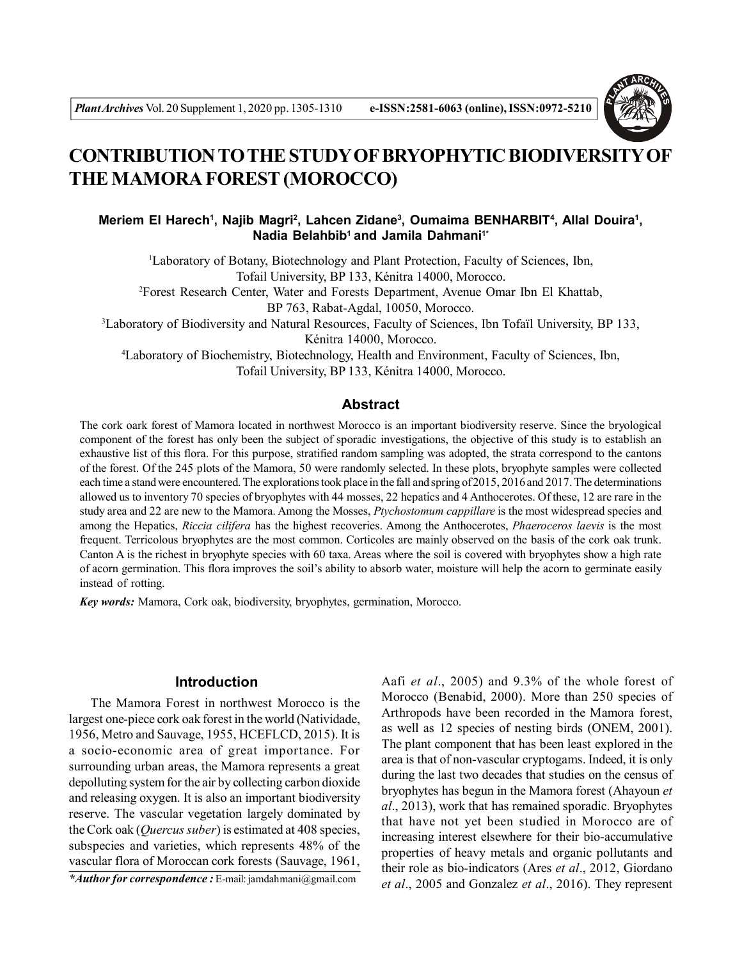

# **CONTRIBUTION TO THE STUDY OF BRYOPHYTIC BIODIVERSITY OF THE MAMORA FOREST (MOROCCO)**

**Meriem El Harech<sup>1</sup> , Najib Magri<sup>2</sup> , Lahcen Zidane<sup>3</sup> , Oumaima BENHARBIT<sup>4</sup> , Allal Douira<sup>1</sup> , Nadia Belahbib<sup>1</sup>and Jamila Dahmani1\***

<sup>1</sup>Laboratory of Botany, Biotechnology and Plant Protection, Faculty of Sciences, Ibn, Tofail University, BP 133, Kénitra 14000, Morocco.

<sup>2</sup>Forest Research Center, Water and Forests Department, Avenue Omar Ibn El Khattab,

BP 763, Rabat-Agdal, 10050, Morocco.

<sup>3</sup>Laboratory of Biodiversity and Natural Resources, Faculty of Sciences, Ibn Tofaïl University, BP 133, Kénitra 14000, Morocco.

<sup>4</sup>Laboratory of Biochemistry, Biotechnology, Health and Environment, Faculty of Sciences, Ibn, Tofail University, BP 133, Kénitra 14000, Morocco.

#### **Abstract**

The cork oark forest of Mamora located in northwest Morocco is an important biodiversity reserve. Since the bryological component of the forest has only been the subject of sporadic investigations, the objective of this study is to establish an exhaustive list of this flora. For this purpose, stratified random sampling was adopted, the strata correspond to the cantons of the forest. Of the 245 plots of the Mamora, 50 were randomly selected. In these plots, bryophyte samples were collected each time a stand were encountered. The explorations took place in the fall and spring of 2015, 2016 and 2017. The determinations allowed us to inventory 70 species of bryophytes with 44 mosses, 22 hepatics and 4 Anthocerotes. Of these, 12 are rare in the study area and 22 are new to the Mamora. Among the Mosses, *Ptychostomum cappillare* is the most widespread species and among the Hepatics, *Riccia cilifera* has the highest recoveries. Among the Anthocerotes, *Phaeroceros laevis* is the most frequent. Terricolous bryophytes are the most common. Corticoles are mainly observed on the basis of the cork oak trunk. Canton A is the richest in bryophyte species with 60 taxa. Areas where the soil is covered with bryophytes show a high rate of acorn germination. This flora improves the soil's ability to absorb water, moisture will help the acorn to germinate easily instead of rotting.

*Key words:* Mamora, Cork oak, biodiversity, bryophytes, germination, Morocco.

### **Introduction**

The Mamora Forest in northwest Morocco is the largest one-piece cork oak forest in the world (Natividade, 1956, Metro and Sauvage, 1955, HCEFLCD, 2015). It is a socio-economic area of great importance. For surrounding urban areas, the Mamora represents a great depolluting system for the air by collecting carbon dioxide and releasing oxygen. It is also an important biodiversity reserve. The vascular vegetation largely dominated by the Cork oak (*Quercus suber*) is estimated at 408 species, subspecies and varieties, which represents 48% of the vascular flora of Moroccan cork forests (Sauvage, 1961,

*\*Author for correspondence :* E-mail: jamdahmani@gmail.com

Aafi *et al*., 2005) and 9.3% of the whole forest of Morocco (Benabid, 2000). More than 250 species of Arthropods have been recorded in the Mamora forest, as well as 12 species of nesting birds (ONEM, 2001). The plant component that has been least explored in the area is that of non-vascular cryptogams. Indeed, it is only during the last two decades that studies on the census of bryophytes has begun in the Mamora forest (Ahayoun *et al*., 2013), work that has remained sporadic. Bryophytes that have not yet been studied in Morocco are of increasing interest elsewhere for their bio-accumulative properties of heavy metals and organic pollutants and their role as bio-indicators (Ares *et al*., 2012, Giordano *et al*., 2005 and Gonzalez *et al*., 2016). They represent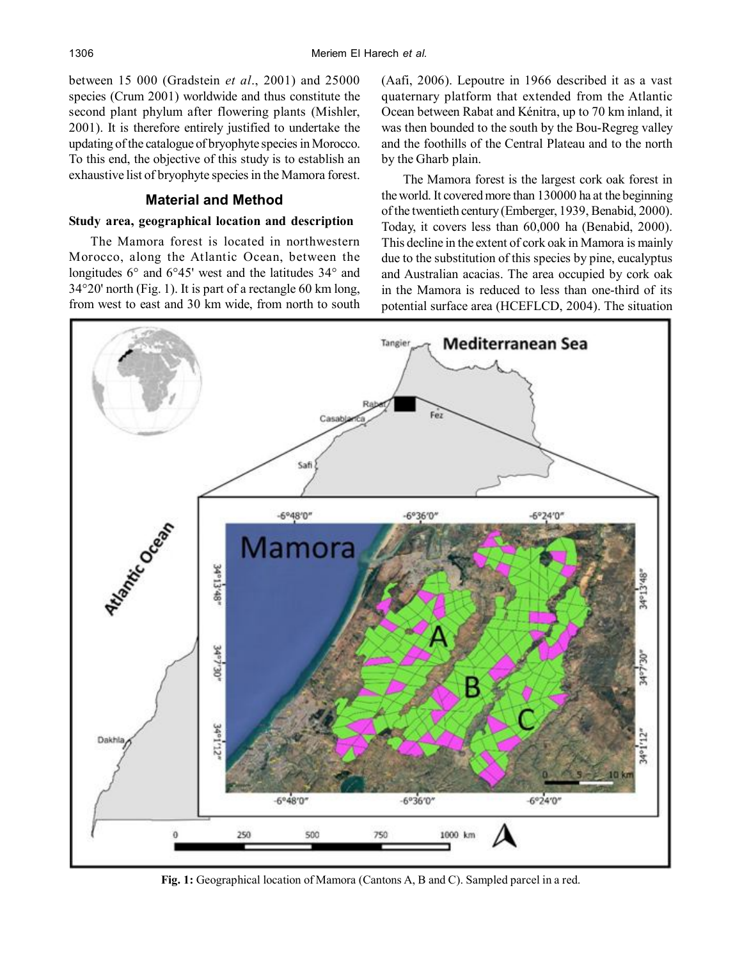between 15 000 (Gradstein *et al*., 2001) and 25000 species (Crum 2001) worldwide and thus constitute the second plant phylum after flowering plants (Mishler, 2001). It is therefore entirely justified to undertake the updating of the catalogue of bryophyte species in Morocco. To this end, the objective of this study is to establish an exhaustive list of bryophyte species in the Mamora forest.

# **Material and Method**

# **Study area, geographical location and description**

The Mamora forest is located in northwestern Morocco, along the Atlantic Ocean, between the longitudes 6° and 6°45' west and the latitudes 34° and 34°20' north (Fig. 1). It is part of a rectangle 60 km long, from west to east and 30 km wide, from north to south

(Aafi, 2006). Lepoutre in 1966 described it as a vast quaternary platform that extended from the Atlantic Ocean between Rabat and Kénitra, up to 70 km inland, it was then bounded to the south by the Bou-Regreg valley and the foothills of the Central Plateau and to the north by the Gharb plain.

The Mamora forest is the largest cork oak forest in the world. It covered more than 130000 ha at the beginning of the twentieth century (Emberger, 1939, Benabid, 2000). Today, it covers less than 60,000 ha (Benabid, 2000). This decline in the extent of cork oak in Mamora is mainly due to the substitution of this species by pine, eucalyptus and Australian acacias. The area occupied by cork oak in the Mamora is reduced to less than one-third of its potential surface area (HCEFLCD, 2004). The situation



**Fig. 1:** Geographical location of Mamora (Cantons A, B and C). Sampled parcel in a red.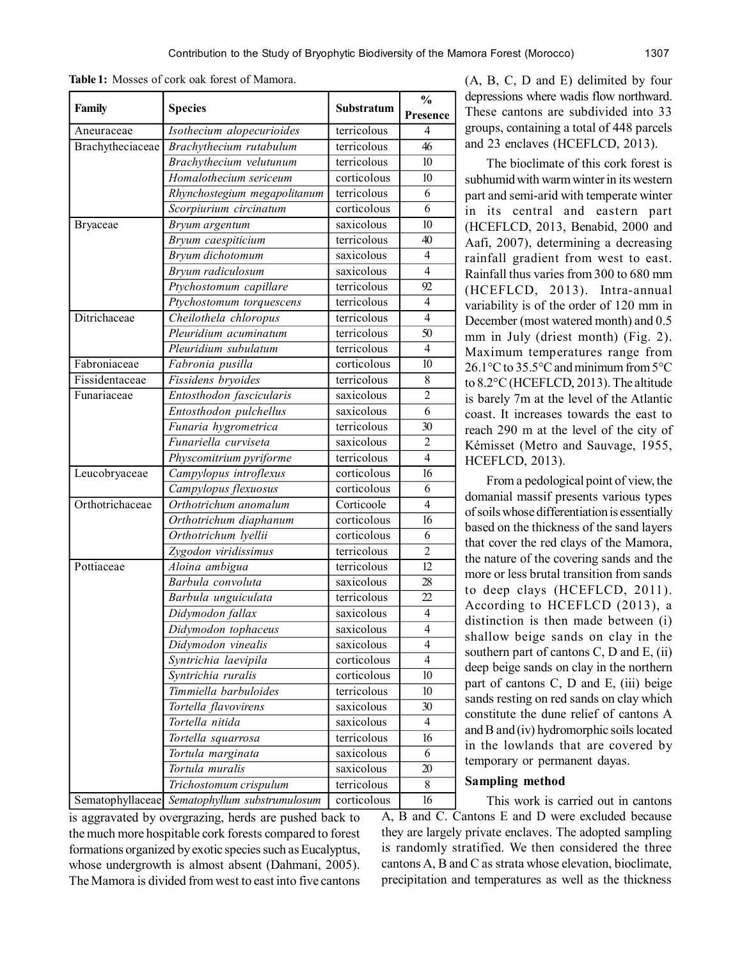|                  | <b>Species</b>               |             | $\frac{0}{0}$  |  |
|------------------|------------------------------|-------------|----------------|--|
| Family           |                              | Substratum  | Presence       |  |
| Aneuraceae       | Isothecium alopecurioides    | terricolous | 4              |  |
| Brachytheciaceae | Brachythecium rutabulum      | terricolous | 46             |  |
|                  | Brachythecium velutunum      | terricolous | 10             |  |
|                  | Homalothecium sericeum       | corticolous | 10             |  |
|                  | Rhynchostegium megapolitanum | terricolous | 6              |  |
|                  | Scorpiurium circinatum       | corticolous | 6              |  |
| <b>Bryaceae</b>  | Bryum argentum               | saxicolous  | 10             |  |
|                  | Bryum caespiticium           | terricolous | 40             |  |
|                  | Bryum dichotomum             | saxicolous  | 4              |  |
|                  | Bryum radiculosum            | saxicolous  | $\overline{4}$ |  |
|                  | Ptychostomum capillare       | terricolous | 92             |  |
|                  | Ptychostomum torquescens     | terricolous | 4              |  |
| Ditrichaceae     | Cheilothela chloropus        | terricolous | $\overline{4}$ |  |
|                  | Pleuridium acuminatum        | terricolous | 50             |  |
|                  | Pleuridium subulatum         | terricolous | $\overline{4}$ |  |
| Fabroniaceae     | Fabronia pusilla             | corticolous | 10             |  |
| Fissidentaceae   | Fissidens bryoides           | terricolous | 8              |  |
| Funariaceae      | Entosthodon fascicularis     | saxicolous  | $\overline{2}$ |  |
|                  | Entosthodon pulchellus       | saxicolous  | 6              |  |
|                  | Funaria hygrometrica         | terricolous | 30             |  |
|                  | Funariella curviseta         | saxicolous  | 2              |  |
|                  | Physcomitrium pyriforme      | terricolous | 4              |  |
| Leucobryaceae    | Campylopus introflexus       | corticolous | 16             |  |
|                  | Campylopus flexuosus         | corticolous | 6              |  |
| Orthotrichaceae  | Orthotrichum anomalum        | Corticoole  | $\overline{4}$ |  |
|                  | Orthotrichum diaphanum       | corticolous | 16             |  |
|                  | Orthotrichum lyellii         | corticolous | 6              |  |
|                  | Zygodon viridissimus         | terricolous | $\overline{2}$ |  |
| Pottiaceae       | Aloina ambigua               | terricolous | 12             |  |
|                  | Barbula convoluta            | saxicolous  | 28             |  |
|                  | Barbula unguiculata          | terricolous | 22             |  |
|                  | Didymodon fallax             | saxicolous  | 4              |  |
|                  | Didymodon tophaceus          | saxicolous  | $\overline{4}$ |  |
|                  | Didymodon vinealis           | saxicolous  | $\overline{4}$ |  |
|                  | Syntrichia laevipila         | corticolous | 4              |  |
|                  | Syntrichia ruralis           | corticolous | 10             |  |
|                  | Timmiella barbuloides        | terricolous | 10             |  |
|                  | Tortella flavovirens         | saxicolous  | 30             |  |
|                  | Tortella nitida              | saxicolous  | 4              |  |
|                  | Tortella squarrosa           | terricolous | 16             |  |

**Table 1:** Mosses of cork oak forest of Mamora.

(A, B, C, D and E) delimited by four depressions where wadis flow northward. These cantons are subdivided into 33 groups, containing a total of 448 parcels and 23 enclaves (HCEFLCD, 2013).

The bioclimate of this cork forest is subhumid with warm winter in its western part and semi-arid with temperate winter in its central and eastern part (HCEFLCD, 2013, Benabid, 2000 and Aafi, 2007), determining a decreasing rainfall gradient from west to east. Rainfall thus varies from 300 to 680 mm (HCEFLCD, 2013). Intra-annual variability is of the order of 120 mm in December (most watered month) and 0.5 mm in July (driest month) (Fig. 2). Maximum temperatures range from 26.1°C to 35.5°C and minimum from 5°C to 8.2°C (HCEFLCD, 2013). The altitude is barely 7m at the level of the Atlantic coast. It increases towards the east to reach 290 m at the level of the city of Kémisset (Metro and Sauvage, 1955, HCEFLCD, 2013).

From a pedological point of view, the domanial massif presents various types of soils whose differentiation is essentially based on the thickness of the sand layers that cover the red clays of the Mamora, the nature of the covering sands and the more or less brutal transition from sands to deep clays (HCEFLCD, 2011). According to HCEFLCD (2013), a distinction is then made between (i) shallow beige sands on clay in the southern part of cantons C, D and E, (ii) deep beige sands on clay in the northern part of cantons C, D and E, (iii) beige sands resting on red sands on clay which constitute the dune relief of cantons A and B and (iv) hydromorphic soils located in the lowlands that are covered by temporary or permanent dayas.

#### **Sampling method**

This work is carried out in cantons Sematophyllaceae *Sematophyllum substrumulosum* corticolous 16 A, B and C. Cantons E and D were excluded because they are largely private enclaves. The adopted sampling is randomly stratified. We then considered the three cantons A, B and C as strata whose elevation, bioclimate, precipitation and temperatures as well as the thickness

is aggravated by overgrazing, herds are pushed back to the much more hospitable cork forests compared to forest formations organized by exotic species such as Eucalyptus, whose undergrowth is almost absent (Dahmani, 2005). The Mamora is divided from west to east into five cantons

*Tortula marginata* saxicolous 6 *Tortula muralis* saxicolous 20 *Trichostomum crispulum* terricolous 8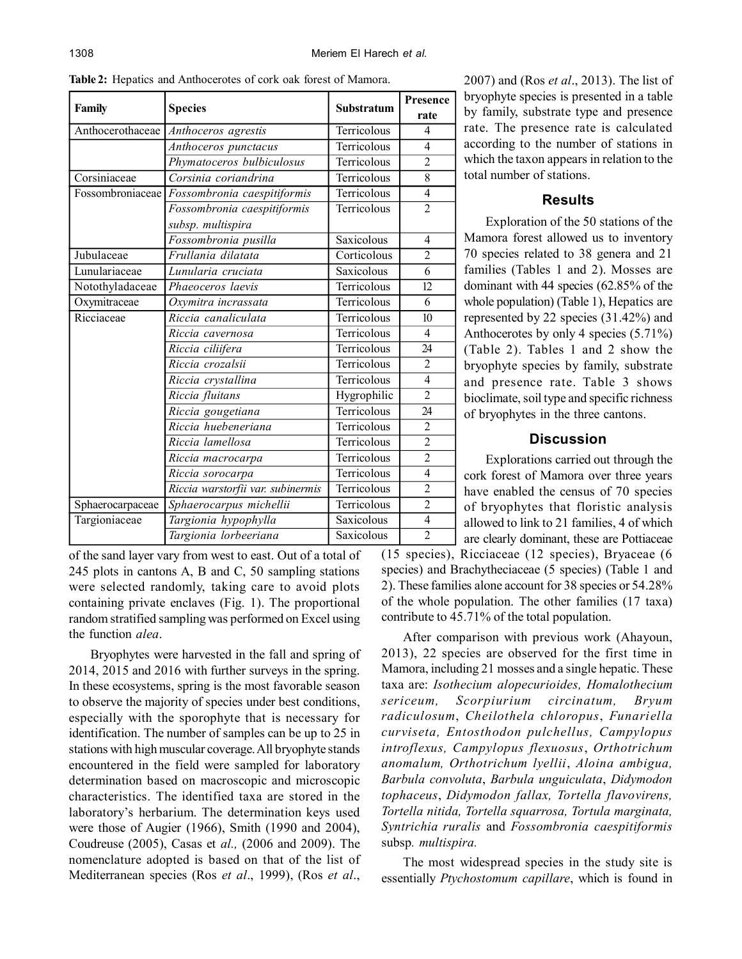|                  | <b>Species</b>                    |             | Presence       |
|------------------|-----------------------------------|-------------|----------------|
| Family           |                                   | Substratum  | rate           |
| Anthocerothaceae | Anthoceros agrestis               | Terricolous | 4              |
|                  | Anthoceros punctacus              | Terricolous | $\overline{4}$ |
|                  | Phymatoceros bulbiculosus         | Terricolous | $\overline{2}$ |
| Corsiniaceae     | Corsinia coriandrina              | Terricolous | 8              |
| Fossombroniaceae | Fossombronia caespitiformis       | Terricolous | $\overline{4}$ |
|                  | Fossombronia caespitiformis       | Terricolous | $\overline{2}$ |
|                  | subsp. multispira                 |             |                |
|                  | Fossombronia pusilla              | Saxicolous  | 4              |
| Jubulaceae       | Frullania dilatata                | Corticolous | $\overline{2}$ |
| Lunulariaceae    | Lunularia cruciata                | Saxicolous  | $\overline{6}$ |
| Notothyladaceae  | Phaeoceros laevis                 | Terricolous | 12             |
| Oxymitraceae     | Oxymitra incrassata               | Terricolous | 6              |
| Ricciaceae       | Riccia canaliculata               | Terricolous | 10             |
|                  | Riccia cavernosa                  | Terricolous | 4              |
|                  | Riccia ciliifera                  | Terricolous | 24             |
|                  | Riccia crozalsii                  | Terricolous | $\overline{2}$ |
|                  | Riccia crystallina                | Terricolous | $\overline{4}$ |
|                  | Riccia fluitans                   | Hygrophilic | $\overline{2}$ |
|                  | Riccia gougetiana                 | Terricolous | 24             |
|                  | Riccia huebeneriana               | Terricolous | $\overline{2}$ |
|                  | Riccia lamellosa                  | Terricolous | $\overline{2}$ |
|                  | Riccia macrocarpa                 | Terricolous | $\overline{2}$ |
|                  | Riccia sorocarpa                  | Terricolous | $\overline{4}$ |
|                  | Riccia warstorfii var. subinermis | Terricolous | $\overline{c}$ |
| Sphaerocarpaceae | Sphaerocarpus michellii           | Terricolous | $\overline{2}$ |
| Targioniaceae    | Targionia hypophylla              | Saxicolous  | $\overline{4}$ |
|                  | Targionia lorbeeriana             | Saxicolous  | $\overline{2}$ |

**Table 2:** Hepatics and Anthocerotes of cork oak forest of Mamora.

of the sand layer vary from west to east. Out of a total of 245 plots in cantons A, B and C, 50 sampling stations were selected randomly, taking care to avoid plots containing private enclaves (Fig. 1). The proportional random stratified sampling was performed on Excel using the function *alea*.

Bryophytes were harvested in the fall and spring of 2014, 2015 and 2016 with further surveys in the spring. In these ecosystems, spring is the most favorable season to observe the majority of species under best conditions, especially with the sporophyte that is necessary for identification. The number of samples can be up to 25 in stations with high muscular coverage. All bryophyte stands encountered in the field were sampled for laboratory determination based on macroscopic and microscopic characteristics. The identified taxa are stored in the laboratory's herbarium. The determination keys used were those of Augier (1966), Smith (1990 and 2004), Coudreuse (2005), Casas et *al.,* (2006 and 2009). The nomenclature adopted is based on that of the list of Mediterranean species (Ros *et al*., 1999), (Ros *et al*.,

2007) and (Ros *et al*., 2013). The list of bryophyte species is presented in a table by family, substrate type and presence rate. The presence rate is calculated according to the number of stations in which the taxon appears in relation to the total number of stations.

## **Results**

Exploration of the 50 stations of the Mamora forest allowed us to inventory 70 species related to 38 genera and 21 families (Tables 1 and 2). Mosses are dominant with 44 species (62.85% of the whole population) (Table 1), Hepatics are represented by 22 species (31.42%) and Anthocerotes by only 4 species (5.71%) (Table 2). Tables 1 and 2 show the bryophyte species by family, substrate and presence rate. Table 3 shows bioclimate, soil type and specific richness of bryophytes in the three cantons.

### **Discussion**

Explorations carried out through the cork forest of Mamora over three years have enabled the census of 70 species of bryophytes that floristic analysis allowed to link to 21 families, 4 of which are clearly dominant, these are Pottiaceae

(15 species), Ricciaceae (12 species), Bryaceae (6 species) and Brachytheciaceae (5 species) (Table 1 and 2). These families alone account for 38 species or 54.28% of the whole population. The other families (17 taxa) contribute to 45.71% of the total population.

After comparison with previous work (Ahayoun, 2013), 22 species are observed for the first time in Mamora, including 21 mosses and a single hepatic. These taxa are: *Isothecium alopecurioides, Homalothecium sericeum, Scorpiurium circinatum, Bryum radiculosum*, *Cheilothela chloropus*, *Funariella curviseta, Entosthodon pulchellus, Campylopus introflexus, Campylopus flexuosus*, *Orthotrichum anomalum, Orthotrichum lyellii*, *Aloina ambigua, Barbula convoluta*, *Barbula unguiculata*, *Didymodon tophaceus*, *Didymodon fallax, Tortella flavovirens, Tortella nitida, Tortella squarrosa, Tortula marginata, Syntrichia ruralis* and *Fossombronia caespitiformis* subsp*. multispira.*

The most widespread species in the study site is essentially *Ptychostomum capillare*, which is found in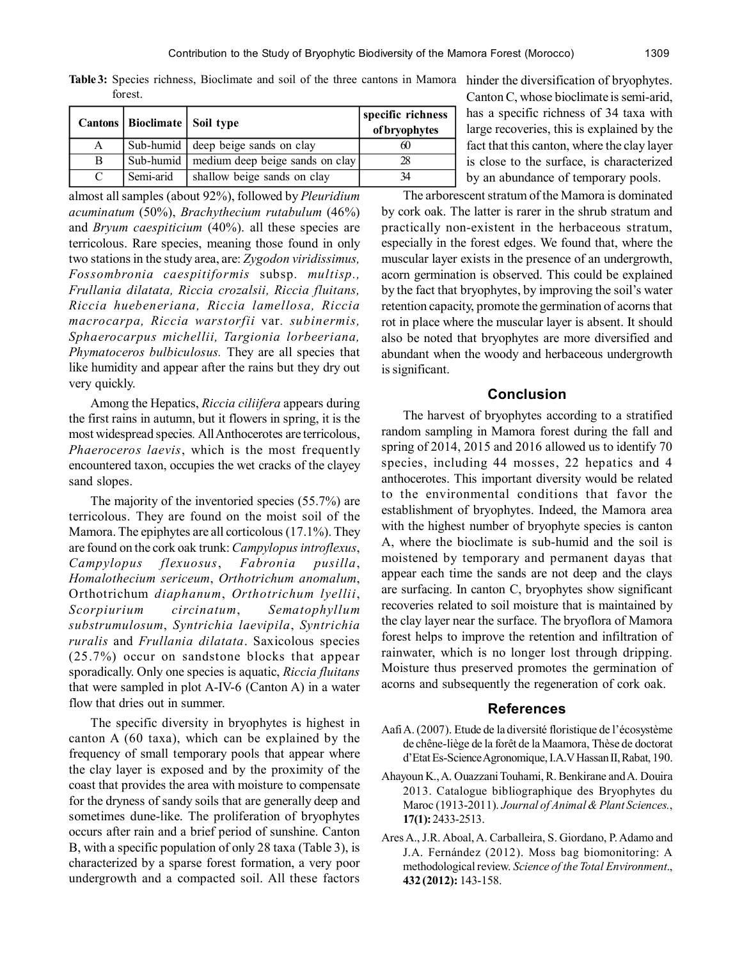Table 3: Species richness, Bioclimate and soil of the three cantons in Mamora hinder the diversification of bryophytes. forest.

|   | Cantons   Bioclimate   Soil type |                                             | specific richness<br>of bryophytes |
|---|----------------------------------|---------------------------------------------|------------------------------------|
| А |                                  | Sub-humid deep beige sands on clay          |                                    |
| B |                                  | Sub-humid   medium deep beige sands on clay |                                    |
|   | Semi-arid                        | shallow beige sands on clay                 |                                    |

almost all samples (about 92%), followed by *Pleuridium acuminatum* (50%), *Brachythecium rutabulum* (46%) and *Bryum caespiticium* (40%). all these species are terricolous. Rare species, meaning those found in only two stations in the study area, are: *Zygodon viridissimus, Fossombronia caespitiformis* subsp*. multisp., Frullania dilatata, Riccia crozalsii, Riccia fluitans, Riccia huebeneriana, Riccia lamellosa, Riccia macrocarpa, Riccia warstorfii* var*. subinermis, Sphaerocarpus michellii, Targionia lorbeeriana, Phymatoceros bulbiculosus.* They are all species that like humidity and appear after the rains but they dry out very quickly.

Among the Hepatics, *Riccia ciliifera* appears during the first rains in autumn, but it flowers in spring, it is the most widespread species*.* All Anthocerotes are terricolous, *Phaeroceros laevis*, which is the most frequently encountered taxon, occupies the wet cracks of the clayey sand slopes.

The majority of the inventoried species (55.7%) are terricolous. They are found on the moist soil of the Mamora. The epiphytes are all corticolous (17.1%). They are found on the cork oak trunk: *Campylopus introflexus*, *Campylopus flexuosus*, *Fabronia pusilla*, *Homalothecium sericeum*, *Orthotrichum anomalum*, Orthotrichum *diaphanum*, *Orthotrichum lyellii*, *Scorpiurium circinatum*, *Sematophyllum substrumulosum*, *Syntrichia laevipila*, *Syntrichia ruralis* and *Frullania dilatata*. Saxicolous species (25.7%) occur on sandstone blocks that appear sporadically. Only one species is aquatic, *Riccia fluitans* that were sampled in plot A-IV-6 (Canton A) in a water flow that dries out in summer.

The specific diversity in bryophytes is highest in canton A (60 taxa), which can be explained by the frequency of small temporary pools that appear where the clay layer is exposed and by the proximity of the coast that provides the area with moisture to compensate for the dryness of sandy soils that are generally deep and sometimes dune-like. The proliferation of bryophytes occurs after rain and a brief period of sunshine. Canton B, with a specific population of only 28 taxa (Table 3), is characterized by a sparse forest formation, a very poor undergrowth and a compacted soil. All these factors Canton C, whose bioclimate is semi-arid, has a specific richness of 34 taxa with large recoveries, this is explained by the fact that this canton, where the clay layer is close to the surface, is characterized by an abundance of temporary pools.

The arborescent stratum of the Mamora is dominated by cork oak. The latter is rarer in the shrub stratum and practically non-existent in the herbaceous stratum, especially in the forest edges. We found that, where the muscular layer exists in the presence of an undergrowth, acorn germination is observed. This could be explained by the fact that bryophytes, by improving the soil's water retention capacity, promote the germination of acorns that rot in place where the muscular layer is absent. It should also be noted that bryophytes are more diversified and abundant when the woody and herbaceous undergrowth is significant.

#### **Conclusion**

The harvest of bryophytes according to a stratified random sampling in Mamora forest during the fall and spring of 2014, 2015 and 2016 allowed us to identify 70 species, including 44 mosses, 22 hepatics and 4 anthocerotes. This important diversity would be related to the environmental conditions that favor the establishment of bryophytes. Indeed, the Mamora area with the highest number of bryophyte species is canton A, where the bioclimate is sub-humid and the soil is moistened by temporary and permanent dayas that appear each time the sands are not deep and the clays are surfacing. In canton C, bryophytes show significant recoveries related to soil moisture that is maintained by the clay layer near the surface. The bryoflora of Mamora forest helps to improve the retention and infiltration of rainwater, which is no longer lost through dripping. Moisture thus preserved promotes the germination of acorns and subsequently the regeneration of cork oak.

#### **References**

- Aafi A. (2007). Etude de la diversité floristique de l'écosystème de chêne-liège de la forêt de la Maamora, Thèse de doctorat d'Etat Es-Science Agronomique, I.A.V Hassan II, Rabat, 190.
- Ahayoun K., A. Ouazzani Touhami, R. Benkirane and A. Douira 2013. Catalogue bibliographique des Bryophytes du Maroc (1913-2011). *Journal of Animal & Plant Sciences.*, **17(1):** 2433-2513.
- Ares A., J.R. Aboal, A. Carballeira, S. Giordano, P. Adamo and J.A. Fernández (2012). Moss bag biomonitoring: A methodological review. *Science of the Total Environment*., **432 (2012):** 143-158.